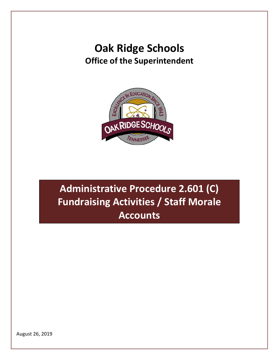## **Oak Ridge Schools Office of the Superintendent**



**Administrative Procedure 2.601 (C) Fundraising Activities / Staff Morale Accounts** 

August 26, 2019